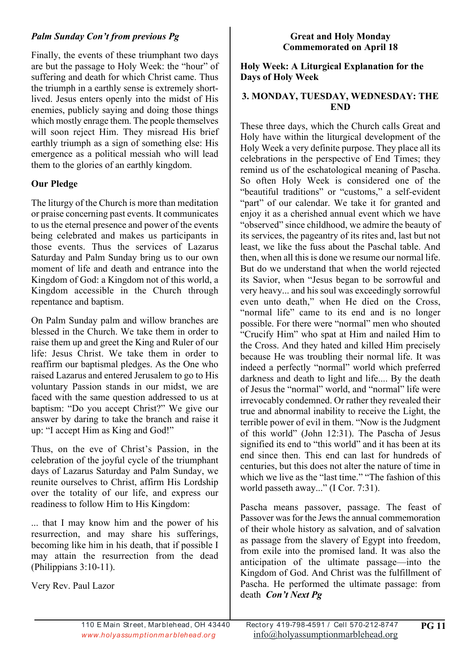### *Palm Sunday Con't from previous Pg*

Finally, the events of these triumphant two days are but the passage to Holy Week: the "hour" of suffering and death for which Christ came. Thus the triumph in a earthly sense is extremely shortlived. Jesus enters openly into the midst of His enemies, publicly saying and doing those things which mostly enrage them. The people themselves will soon reject Him. They misread His brief earthly triumph as a sign of something else: His emergence as a political messiah who will lead them to the glories of an earthly kingdom.

## **Our Pledge**

The liturgy of the Church is more than meditation or praise concerning past events. It communicates to us the eternal presence and power of the events being celebrated and makes us participants in those events. Thus the services of Lazarus Saturday and Palm Sunday bring us to our own moment of life and death and entrance into the Kingdom of God: a Kingdom not of this world, a Kingdom accessible in the Church through repentance and baptism.

On Palm Sunday palm and willow branches are blessed in the Church. We take them in order to raise them up and greet the King and Ruler of our life: Jesus Christ. We take them in order to reaffirm our baptismal pledges. As the One who raised Lazarus and entered Jerusalem to go to His voluntary Passion stands in our midst, we are faced with the same question addressed to us at baptism: "Do you accept Christ?" We give our answer by daring to take the branch and raise it up: "I accept Him as King and God!"

Thus, on the eve of Christ's Passion, in the celebration of the joyful cycle of the triumphant days of Lazarus Saturday and Palm Sunday, we reunite ourselves to Christ, affirm His Lordship over the totality of our life, and express our readiness to follow Him to His Kingdom:

... that I may know him and the power of his resurrection, and may share his sufferings, becoming like him in his death, that if possible I may attain the resurrection from the dead (Philippians 3:10-11).

Very Rev. Paul Lazor

#### **Great and Holy Monday Commemorated on April 18**

#### **Holy Week: A Liturgical Explanation for the Days of Holy Week**

### **3. MONDAY, TUESDAY, WEDNESDAY: THE END**

These three days, which the Church calls Great and Holy have within the liturgical development of the Holy Week a very definite purpose. They place all its celebrations in the perspective of End Times; they remind us of the eschatological meaning of Pascha. So often Holy Week is considered one of the "beautiful traditions" or "customs," a self-evident "part" of our calendar. We take it for granted and enjoy it as a cherished annual event which we have "observed" since childhood, we admire the beauty of its services, the pageantry of its rites and, last but not least, we like the fuss about the Paschal table. And then, when all this is done we resume our normal life. But do we understand that when the world rejected its Savior, when "Jesus began to be sorrowful and very heavy... and his soul was exceedingly sorrowful even unto death," when He died on the Cross, "normal life" came to its end and is no longer possible. For there were "normal" men who shouted "Crucify Him" who spat at Him and nailed Him to the Cross. And they hated and killed Him precisely because He was troubling their normal life. It was indeed a perfectly "normal" world which preferred darkness and death to light and life.... By the death of Jesus the "normal" world, and "normal" life were irrevocably condemned. Or rather they revealed their true and abnormal inability to receive the Light, the terrible power of evil in them. "Now is the Judgment of this world" (John 12:31). The Pascha of Jesus signified its end to "this world" and it has been at its end since then. This end can last for hundreds of centuries, but this does not alter the nature of time in which we live as the "last time." "The fashion of this world passeth away..." (I Cor. 7:31).

Pascha means passover, passage. The feast of Passover was for the Jews the annual commemoration of their whole history as salvation, and of salvation as passage from the slavery of Egypt into freedom, from exile into the promised land. It was also the anticipation of the ultimate passage—into the Kingdom of God. And Christ was the fulfillment of Pascha. He performed the ultimate passage: from death *Con't Next Pg*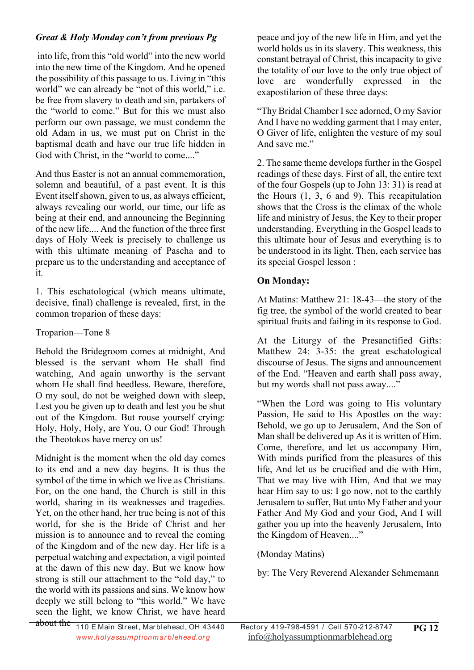## *Great & Holy Monday con't from previous Pg*

 into life, from this "old world" into the new world into the new time of the Kingdom. And he opened the possibility of this passage to us. Living in "this world" we can already be "not of this world," i.e. be free from slavery to death and sin, partakers of the "world to come." But for this we must also perform our own passage, we must condemn the old Adam in us, we must put on Christ in the baptismal death and have our true life hidden in God with Christ, in the "world to come...."

And thus Easter is not an annual commemoration, solemn and beautiful, of a past event. It is this Event itself shown, given to us, as always efficient, always revealing our world, our time, our life as being at their end, and announcing the Beginning of the new life.... And the function of the three first days of Holy Week is precisely to challenge us with this ultimate meaning of Pascha and to prepare us to the understanding and acceptance of it.

1. This eschatological (which means ultimate, decisive, final) challenge is revealed, first, in the common troparion of these days:

## Troparion—Tone 8

Behold the Bridegroom comes at midnight, And blessed is the servant whom He shall find watching, And again unworthy is the servant whom He shall find heedless. Beware, therefore, O my soul, do not be weighed down with sleep, Lest you be given up to death and lest you be shut out of the Kingdom. But rouse yourself crying: Holy, Holy, Holy, are You, O our God! Through the Theotokos have mercy on us!

Midnight is the moment when the old day comes to its end and a new day begins. It is thus the symbol of the time in which we live as Christians. For, on the one hand, the Church is still in this world, sharing in its weaknesses and tragedies. Yet, on the other hand, her true being is not of this world, for she is the Bride of Christ and her mission is to announce and to reveal the coming of the Kingdom and of the new day. Her life is a perpetual watching and expectation, a vigil pointed at the dawn of this new day. But we know how strong is still our attachment to the "old day," to the world with its passions and sins. We know how deeply we still belong to "this world." We have seen the light, we know Christ, we have heard

peace and joy of the new life in Him, and yet the world holds us in its slavery. This weakness, this constant betrayal of Christ, this incapacity to give the totality of our love to the only true object of love are wonderfully expressed in the exapostilarion of these three days:

"Thy Bridal Chamber I see adorned, O my Savior And I have no wedding garment that I may enter, O Giver of life, enlighten the vesture of my soul And save me."

2. The same theme develops further in the Gospel readings of these days. First of all, the entire text of the four Gospels (up to John 13: 31) is read at the Hours (1, 3, 6 and 9). This recapitulation shows that the Cross is the climax of the whole life and ministry of Jesus, the Key to their proper understanding. Everything in the Gospel leads to this ultimate hour of Jesus and everything is to be understood in its light. Then, each service has its special Gospel lesson :

## **On Monday:**

At Matins: Matthew 21: 18-43—the story of the fig tree, the symbol of the world created to bear spiritual fruits and failing in its response to God.

At the Liturgy of the Presanctified Gifts: Matthew 24: 3-35: the great eschatological discourse of Jesus. The signs and announcement of the End. "Heaven and earth shall pass away, but my words shall not pass away...."

"When the Lord was going to His voluntary Passion, He said to His Apostles on the way: Behold, we go up to Jerusalem, And the Son of Man shall be delivered up As it is written of Him. Come, therefore, and let us accompany Him, With minds purified from the pleasures of this life, And let us be crucified and die with Him, That we may live with Him, And that we may hear Him say to us: I go now, not to the earthly Jerusalem to suffer, But unto My Father and your Father And My God and your God, And I will gather you up into the heavenly Jerusalem, Into the Kingdom of Heaven...."

## (Monday Matins)

by: The Very Reverend Alexander Schmemann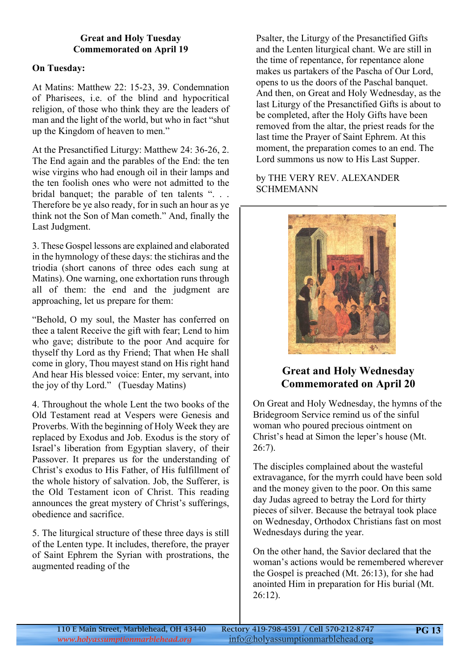#### **Great and Holy Tuesday Commemorated on April 19**

### **On Tuesday:**

At Matins: Matthew 22: 15-23, 39. Condemnation of Pharisees, i.e. of the blind and hypocritical religion, of those who think they are the leaders of man and the light of the world, but who in fact "shut up the Kingdom of heaven to men."

At the Presanctified Liturgy: Matthew 24: 36-26, 2. The End again and the parables of the End: the ten wise virgins who had enough oil in their lamps and the ten foolish ones who were not admitted to the bridal banquet; the parable of ten talents ". . . Therefore be ye also ready, for in such an hour as ye think not the Son of Man cometh." And, finally the Last Judgment.

3. These Gospel lessons are explained and elaborated in the hymnology of these days: the stichiras and the triodia (short canons of three odes each sung at Matins). One warning, one exhortation runs through all of them: the end and the judgment are approaching, let us prepare for them:

"Behold, O my soul, the Master has conferred on thee a talent Receive the gift with fear; Lend to him who gave; distribute to the poor And acquire for thyself thy Lord as thy Friend; That when He shall come in glory, Thou mayest stand on His right hand And hear His blessed voice: Enter, my servant, into the joy of thy Lord." (Tuesday Matins)

4. Throughout the whole Lent the two books of the Old Testament read at Vespers were Genesis and Proverbs. With the beginning of Holy Week they are replaced by Exodus and Job. Exodus is the story of Israel's liberation from Egyptian slavery, of their Passover. It prepares us for the understanding of Christ's exodus to His Father, of His fulfillment of the whole history of salvation. Job, the Sufferer, is the Old Testament icon of Christ. This reading announces the great mystery of Christ's sufferings, obedience and sacrifice.

5. The liturgical structure of these three days is still of the Lenten type. It includes, therefore, the prayer of Saint Ephrem the Syrian with prostrations, the augmented reading of the

Psalter, the Liturgy of the Presanctified Gifts and the Lenten liturgical chant. We are still in the time of repentance, for repentance alone makes us partakers of the Pascha of Our Lord, opens to us the doors of the Paschal banquet. And then, on Great and Holy Wednesday, as the last Liturgy of the Presanctified Gifts is about to be completed, after the Holy Gifts have been removed from the altar, the priest reads for the last time the Prayer of Saint Ephrem. At this moment, the preparation comes to an end. The Lord summons us now to His Last Supper.

### by THE VERY REV. ALEXANDER **SCHMEMANN**



# **Great and Holy Wednesday Commemorated on April 20**

On Great and Holy Wednesday, the hymns of the Bridegroom Service remind us of the sinful woman who poured precious ointment on Christ's head at Simon the leper's house (Mt. 26:7).

The disciples complained about the wasteful extravagance, for the myrrh could have been sold and the money given to the poor. On this same day Judas agreed to betray the Lord for thirty pieces of silver. Because the betrayal took place on Wednesday, Orthodox Christians fast on most Wednesdays during the year.

On the other hand, the Savior declared that the woman's actions would be remembered wherever the Gospel is preached (Mt. 26:13), for she had anointed Him in preparation for His burial (Mt. 26:12).

**PG 13**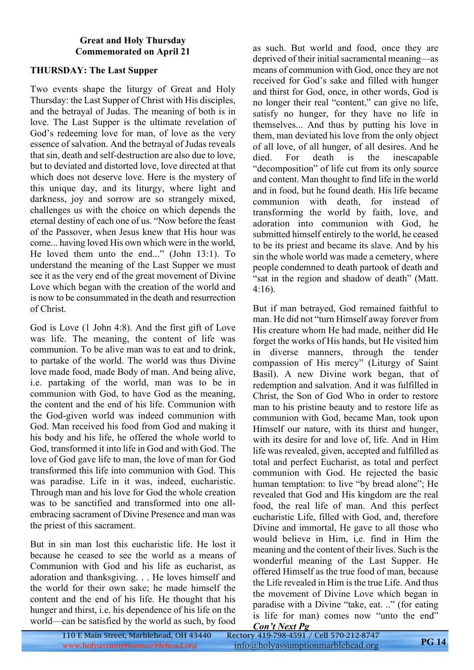#### **Great and Holy Thursday Commemorated on April 21**

#### **THURSDAY: The Last Supper**

Two events shape the liturgy of Great and Holy Thursday: the Last Supper of Christ with His disciples, and the betrayal of Judas. The meaning of both is in love. The Last Supper is the ultimate revelation of God's redeeming love for man, of love as the very essence of salvation. And the betrayal of Judas reveals that sin, death and self-destruction are also due to love, but to deviated and distorted love, love directed at that which does not deserve love. Here is the mystery of this unique day, and its liturgy, where light and darkness, joy and sorrow are so strangely mixed, challenges us with the choice on which depends the eternal destiny of each one of us. "Now before the feast of the Passover, when Jesus knew that His hour was come... having loved His own which were in the world, He loved them unto the end..." (John 13:1). To understand the meaning of the Last Supper we must see it as the very end of the great movement of Divine Love which began with the creation of the world and is now to be consummated in the death and resurrection of Christ.

God is Love (1 John 4:8). And the first gift of Love was life. The meaning, the content of life was communion. To be alive man was to eat and to drink, to partake of the world. The world was thus Divine love made food, made Body of man. And being alive, i.e. partaking of the world, man was to be in communion with God, to have God as the meaning, the content and the end of his life. Communion with the God-given world was indeed communion with God. Man received his food from God and making it his body and his life, he offered the whole world to God, transformed it into life in God and with God. The love of God gave life to man, the love of man for God transformed this life into communion with God. This was paradise. Life in it was, indeed, eucharistic. Through man and his love for God the whole creation was to be sanctified and transformed into one allembracing sacrament of Divine Presence and man was the priest of this sacrament.

But in sin man lost this eucharistic life. He lost it because he ceased to see the world as a means of Communion with God and his life as eucharist, as adoration and thanksgiving. . . He loves himself and the world for their own sake; he made himself the content and the end of his life. He thought that his hunger and thirst, i.e. his dependence of his life on the world—can be satisfied by the world as such, by food as such. But world and food, once they are deprived of their initial sacramental meaning—as means of communion with God, once they are not received for God's sake and filled with hunger and thirst for God, once, in other words, God is no longer their real "content," can give no life, satisfy no hunger, for they have no life in themselves... And thus by putting his love in them, man deviated his love from the only object of all love, of all hunger, of all desires. And he died. For death is the inescapable "decomposition" of life cut from its only source and content. Man thought to find life in the world and in food, but he found death. His life became communion with death, for instead of transforming the world by faith, love, and adoration into communion with God, he submitted himself entirely to the world, he ceased to be its priest and became its slave. And by his sin the whole world was made a cemetery, where people condemned to death partook of death and "sat in the region and shadow of death" (Matt. 4:16).

But if man betrayed, God remained faithful to man. He did not "turn Himself away forever from His creature whom He had made, neither did He forget the works of His hands, but He visited him in diverse manners, through the tender compassion of His mercy" (Liturgy of Saint Basil). A new Divine work began, that of redemption and salvation. And it was fulfilled in Christ, the Son of God Who in order to restore man to his pristine beauty and to restore life as communion with God, became Man, took upon Himself our nature, with its thirst and hunger, with its desire for and love of, life. And in Him life was revealed, given, accepted and fulfilled as total and perfect Eucharist, as total and perfect communion with God. He rejected the basic human temptation: to live "by bread alone"; He revealed that God and His kingdom are the real food, the real life of man. And this perfect eucharistic Life, filled with God, and, therefore Divine and immortal, He gave to all those who would believe in Him, i,e. find in Him the meaning and the content of their lives. Such is the wonderful meaning of the Last Supper. He offered Himself as the true food of man, because the Life revealed in Him is the true Life. And thus the movement of Divine Love which began in paradise with a Divine "take, eat. .." (for eating is life for man) comes now "unto the end" *Con't Next Pg*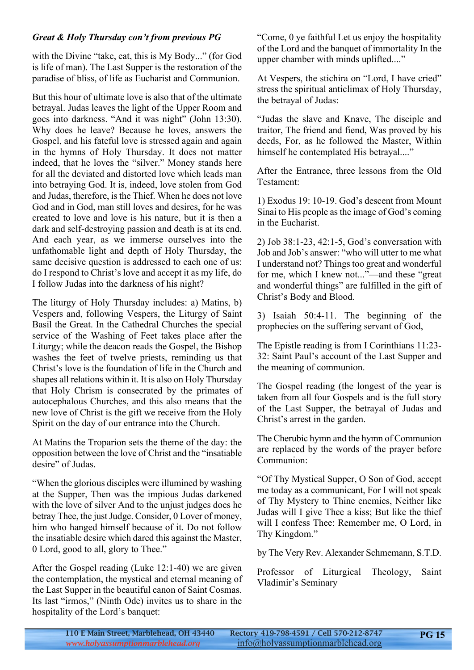#### *Great & Holy Thursday con't from previous PG*

with the Divine "take, eat, this is My Body..." (for God is life of man). The Last Supper is the restoration of the paradise of bliss, of life as Eucharist and Communion.

But this hour of ultimate love is also that of the ultimate betrayal. Judas leaves the light of the Upper Room and goes into darkness. "And it was night" (John 13:30). Why does he leave? Because he loves, answers the Gospel, and his fateful love is stressed again and again in the hymns of Holy Thursday. It does not matter indeed, that he loves the "silver." Money stands here for all the deviated and distorted love which leads man into betraying God. It is, indeed, love stolen from God and Judas, therefore, is the Thief. When he does not love God and in God, man still loves and desires, for he was created to love and love is his nature, but it is then a dark and self-destroying passion and death is at its end. And each year, as we immerse ourselves into the unfathomable light and depth of Holy Thursday, the same decisive question is addressed to each one of us: do I respond to Christ's love and accept it as my life, do I follow Judas into the darkness of his night?

The liturgy of Holy Thursday includes: a) Matins, b) Vespers and, following Vespers, the Liturgy of Saint Basil the Great. In the Cathedral Churches the special service of the Washing of Feet takes place after the Liturgy; while the deacon reads the Gospel, the Bishop washes the feet of twelve priests, reminding us that Christ's love is the foundation of life in the Church and shapes all relations within it. It is also on Holy Thursday that Holy Chrism is consecrated by the primates of autocephalous Churches, and this also means that the new love of Christ is the gift we receive from the Holy Spirit on the day of our entrance into the Church.

At Matins the Troparion sets the theme of the day: the opposition between the love of Christ and the "insatiable desire" of Judas.

"When the glorious disciples were illumined by washing at the Supper, Then was the impious Judas darkened with the love of silver And to the unjust judges does he betray Thee, the just Judge. Consider, 0 Lover of money, him who hanged himself because of it. Do not follow the insatiable desire which dared this against the Master, 0 Lord, good to all, glory to Thee."

After the Gospel reading (Luke 12:1-40) we are given the contemplation, the mystical and eternal meaning of the Last Supper in the beautiful canon of Saint Cosmas. Its last "irmos," (Ninth Ode) invites us to share in the hospitality of the Lord's banquet:

"Come, 0 ye faithful Let us enjoy the hospitality of the Lord and the banquet of immortality In the upper chamber with minds uplifted...."

At Vespers, the stichira on "Lord, I have cried" stress the spiritual anticlimax of Holy Thursday, the betrayal of Judas:

"Judas the slave and Knave, The disciple and traitor, The friend and fiend, Was proved by his deeds, For, as he followed the Master, Within himself he contemplated His betrayal...."

After the Entrance, three lessons from the Old Testament:

1) Exodus 19: 10-19. God's descent from Mount Sinai to His people as the image of God's coming in the Eucharist.

2) Job 38:1-23, 42:1-5, God's conversation with Job and Job's answer: "who will utter to me what I understand not? Things too great and wonderful for me, which I knew not..."—and these "great and wonderful things" are fulfilled in the gift of Christ's Body and Blood.

3) Isaiah 50:4-11. The beginning of the prophecies on the suffering servant of God,

The Epistle reading is from I Corinthians 11:23- 32: Saint Paul's account of the Last Supper and the meaning of communion.

The Gospel reading (the longest of the year is taken from all four Gospels and is the full story of the Last Supper, the betrayal of Judas and Christ's arrest in the garden.

The Cherubic hymn and the hymn of Communion are replaced by the words of the prayer before Communion:

"Of Thy Mystical Supper, O Son of God, accept me today as a communicant, For I will not speak of Thy Mystery to Thine enemies, Neither like Judas will I give Thee a kiss; But like the thief will I confess Thee: Remember me, O Lord, in Thy Kingdom."

by The Very Rev. Alexander Schmemann, S.T.D.

Professor of Liturgical Theology, Saint Vladimir's Seminary